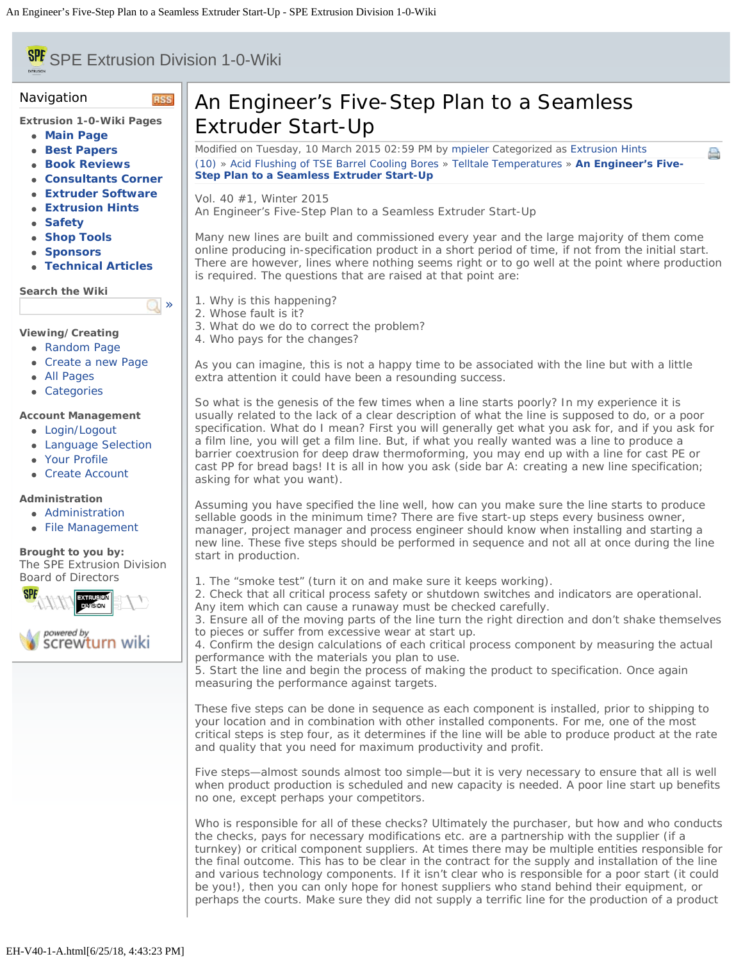# <span id="page-0-0"></span>**SPE** SPE Extrusion Division 1-0-Wiki

**RSS** 

[»](#page-0-0)

#### Navigation

**Extrusion 1-0-Wiki Pages**

- **[Main Page](file:///Users/spe/websites/Extrusion%20Hints/extrusionwiki.com/wiki/MainPage.html)**
- **[Best Papers](file:///Users/spe/websites/Extrusion%20Hints/extrusionwiki.com/wiki/BestPapers.html)**
- **[Book Reviews](file:///Users/spe/websites/Extrusion%20Hints/extrusionwiki.com/wiki/BookReviews.html)**
- **[Consultants Corner](file:///Users/spe/websites/Extrusion%20Hints/extrusionwiki.com/wiki/ConsultantsCorner.html)**
- **[Extruder Software](file:///Users/spe/websites/Extrusion%20Hints/extrusionwiki.com/wiki/ExtruderSoftware.html)**
- **[Extrusion Hints](file:///Users/spe/websites/Extrusion%20Hints/extrusionwiki.com/wiki/ExtrusionHints.html)**
- **[Safety](file:///Users/spe/websites/Extrusion%20Hints/extrusionwiki.com/wiki/Safety.html)**
- **[Shop Tools](file:///Users/spe/websites/Extrusion%20Hints/extrusionwiki.com/wiki/ShopTools.html)**
- **[Sponsors](file:///Users/spe/websites/Extrusion%20Hints/extrusionwiki.com/wiki/SponsorsMain.html)**
- **[Technical Articles](file:///Users/spe/websites/Extrusion%20Hints/extrusionwiki.com/wiki/POTM.html)**

**Search the Wiki**

## **Viewing/Creating**

- [Random Page](file:///Users/spe/websites/Extrusion%20Hints/extrusionwiki.com/wiki/EH-V22-2-G.html)
- [Create a new Page](file:///Users/spe/websites/Extrusion%20Hints/extrusionwiki.com/wiki/Login1c96.html)
- [All Pages](file:///Users/spe/websites/Extrusion%20Hints/extrusionwiki.com/wiki/AllPages.html)
- [Categories](file:///Users/spe/websites/Extrusion%20Hints/extrusionwiki.com/wiki/Category.html)

#### **Account Management**

- [Login/Logout](file:///Users/spe/websites/Extrusion%20Hints/extrusionwiki.com/wiki/Login.html)
- [Language Selection](file:///Users/spe/websites/Extrusion%20Hints/extrusionwiki.com/wiki/Language.html)
- [Your Profile](file:///Users/spe/websites/Extrusion%20Hints/extrusionwiki.com/wiki/Login4c84.html)
- [Create Account](file:///Users/spe/websites/Extrusion%20Hints/extrusionwiki.com/wiki/Register.html)

## **Administration**

- [Administration](file:///Users/spe/websites/Extrusion%20Hints/extrusionwiki.com/wiki/Login2fcc.html)
- [File Management](file:///Users/spe/websites/Extrusion%20Hints/extrusionwiki.com/wiki/Upload.html)

**Brought to you by:** The SPE Extrusion Division [Board of Directors](file:///Users/spe/websites/Extrusion%20Hints/extrusion.4spe.org/index.html)



# An Engineer's Five-Step Plan to a Seamless Extruder Start-Up

Modified on Tuesday, 10 March 2015 02:59 PM by [mpieler](file:///Users/spe/websites/Extrusion%20Hints/extrusionwiki.com/wiki/User67ec.html?Username=mpieler) Categorized as [Extrusion Hints](file:///Users/spe/websites/Extrusion%20Hints/extrusionwiki.com/wiki/AllPages019f.html?Cat=Extrusion%20Hints) [\(10\)](#page-0-0) » [Acid Flushing of TSE Barrel Cooling Bores](file:///Users/spe/websites/Extrusion%20Hints/extrusionwiki.com/wiki/EH-V39-1-A.html) » [Telltale Temperatures](file:///Users/spe/websites/Extrusion%20Hints/extrusionwiki.com/wiki/EH-V39-1-B.html) » **[An Engineer's Five-](#page-0-0)[Step Plan to a Seamless Extruder Start-Up](#page-0-0)**

Vol. 40 #1, Winter 2015 An Engineer's Five-Step Plan to a Seamless Extruder Start-Up

Many new lines are built and commissioned every year and the large majority of them come online producing in-specification product in a short period of time, if not from the initial start. There are however, lines where nothing seems right or to go well at the point where production is required. The questions that are raised at that point are:

e

- 1. Why is this happening?
- 2. Whose fault is it?
- 3. What do we do to correct the problem?
- 4. Who pays for the changes?

As you can imagine, this is not a happy time to be associated with the line but with a little extra attention it could have been a resounding success.

So what is the genesis of the few times when a line starts poorly? In my experience it is usually related to the lack of a clear description of what the line is supposed to do, or a poor specification. What do I mean? First you will generally get what you ask for, and if you ask for a film line, you will get a film line. But, if what you really wanted was a line to produce a barrier coextrusion for deep draw thermoforming, you may end up with a line for cast PE or cast PP for bread bags! It is all in how you ask (side bar A: creating a new line specification; asking for what you want).

Assuming you have specified the line well, how can you make sure the line starts to produce sellable goods in the minimum time? There are five start-up steps every business owner, manager, project manager and process engineer should know when installing and starting a new line. These five steps should be performed in sequence and not all at once during the line start in production.

1. The "smoke test" (turn it on and make sure it keeps working).

2. Check that all critical process safety or shutdown switches and indicators are operational. Any item which can cause a runaway must be checked carefully.

3. Ensure all of the moving parts of the line turn the right direction and don't shake themselves to pieces or suffer from excessive wear at start up.

4. Confirm the design calculations of each critical process component by measuring the actual performance with the materials you plan to use.

5. Start the line and begin the process of making the product to specification. Once again measuring the performance against targets.

These five steps can be done in sequence as each component is installed, prior to shipping to your location and in combination with other installed components. For me, one of the most critical steps is step four, as it determines if the line will be able to produce product at the rate and quality that you need for maximum productivity and profit.

Five steps—almost sounds almost too simple—but it is very necessary to ensure that all is well when product production is scheduled and new capacity is needed. A poor line start up benefits no one, except perhaps your competitors.

Who is responsible for all of these checks? Ultimately the purchaser, but how and who conducts the checks, pays for necessary modifications etc. are a partnership with the supplier (if a turnkey) or critical component suppliers. At times there may be multiple entities responsible for the final outcome. This has to be clear in the contract for the supply and installation of the line and various technology components. If it isn't clear who is responsible for a poor start (it could be you!), then you can only hope for honest suppliers who stand behind their equipment, or perhaps the courts. Make sure they did not supply a terrific line for the production of a product